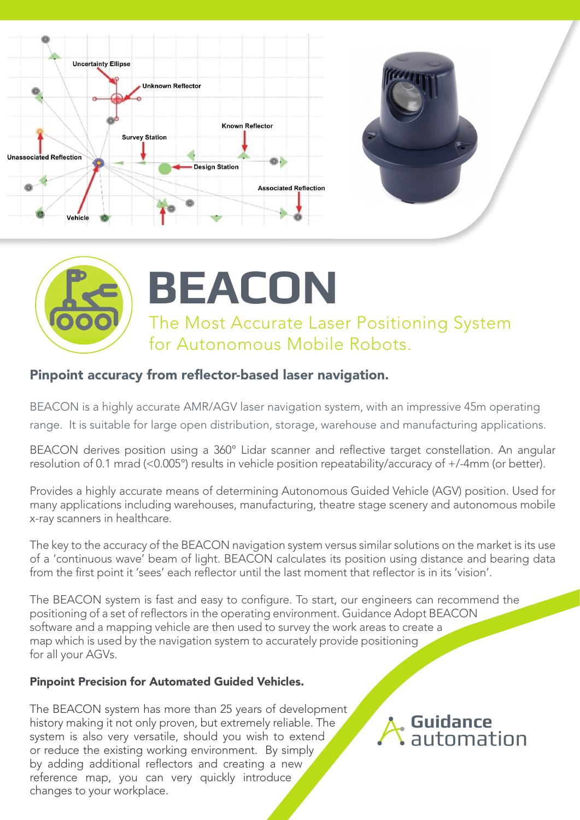





## Pinpoint accuracy from reflector-based laser navigation.

BEACON is a highly accurate AMR/AGV laser navigation system, with an impressive 45m operating range. It is suitable for large open distribution, storage, warehouse and manufacturing applications.

BEACON derives position using a 360° Lidar scanner and reflective target constellation. An angular resolution of 0.1 mrad (<0.005°) results in vehicle position repeatability/accuracy of +/-4mm (or better).

Provides a highly accurate means of determining Autonomous Guided Vehicle (AGV) position. Used for many applications including warehouses, manufacturing, theatre stage scenery and autonomous mobile x-ray scanners in healthcare.

The key to the accuracy of the BEACON navigation system versus similar solutions on the market is its use of a 'continuous wave' beam of light. BEACON calculates its position using distance and bearing data from the first point it 'sees' each reflector until the last moment that reflector is in its 'vision'.

The BEACON system is fast and easy to configure. To start, our engineers can recommend the positioning of a set of reflectors in the operating environment. Guidance Adopt BEACON software and a mapping vehicle are then used to survey the work areas to create a map which is used by the navigation system to accurately provide positioning for all your AGVs.

## Pinpoint Precision for Automated Guided Vehicles.

The BEACON system has more than 25 years of development history making it not only proven, but extremely reliable. The system is also very versatile, should you wish to extend or reduce the existing working environment. By simply by adding additional reflectors and creating a new reference map, you can very quickly introduce changes to your workplace.

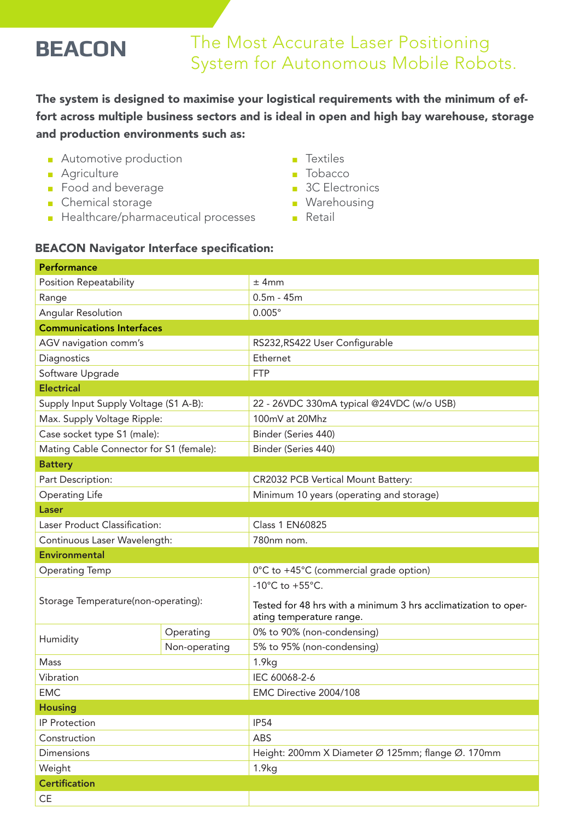# The Most Accurate Laser Positioning **BEACON** The MOST Accurate Laser Positioning<br>System for Autonomous Mobile Robots.

The system is designed to maximise your logistical requirements with the minimum of effort across multiple business sectors and is ideal in open and high bay warehouse, storage and production environments such as:

- Automotive production
- Agriculture
- Food and beverage
- Chemical storage
- Healthcare/pharmaceutical processes

### ■ Textiles

- Tobacco
- 3C Electronics
- Warehousing
- Retail

## BEACON Navigator Interface specification:

| Performance                             |               |                                                                                             |
|-----------------------------------------|---------------|---------------------------------------------------------------------------------------------|
| <b>Position Repeatability</b>           |               | $±$ 4mm                                                                                     |
| Range                                   |               | $0.5m - 45m$                                                                                |
| <b>Angular Resolution</b>               |               | $0.005^\circ$                                                                               |
| <b>Communications Interfaces</b>        |               |                                                                                             |
| AGV navigation comm's                   |               | RS232, RS422 User Configurable                                                              |
| Diagnostics                             |               | Ethernet                                                                                    |
| Software Upgrade                        |               | <b>FTP</b>                                                                                  |
| <b>Electrical</b>                       |               |                                                                                             |
| Supply Input Supply Voltage (S1 A-B):   |               | 22 - 26VDC 330mA typical @24VDC (w/o USB)                                                   |
| Max. Supply Voltage Ripple:             |               | 100mV at 20Mhz                                                                              |
| Case socket type S1 (male):             |               | Binder (Series 440)                                                                         |
| Mating Cable Connector for S1 (female): |               | Binder (Series 440)                                                                         |
| <b>Battery</b>                          |               |                                                                                             |
| Part Description:                       |               | CR2032 PCB Vertical Mount Battery:                                                          |
| <b>Operating Life</b>                   |               | Minimum 10 years (operating and storage)                                                    |
| Laser                                   |               |                                                                                             |
| Laser Product Classification:           |               | <b>Class 1 EN60825</b>                                                                      |
| Continuous Laser Wavelength:            |               | 780nm nom.                                                                                  |
| <b>Environmental</b>                    |               |                                                                                             |
| <b>Operating Temp</b>                   |               | 0°C to +45°C (commercial grade option)                                                      |
| Storage Temperature(non-operating):     |               | -10 $^{\circ}$ C to +55 $^{\circ}$ C.                                                       |
|                                         |               | Tested for 48 hrs with a minimum 3 hrs acclimatization to oper-<br>ating temperature range. |
| Humidity                                | Operating     | 0% to 90% (non-condensing)                                                                  |
|                                         | Non-operating | 5% to 95% (non-condensing)                                                                  |
| Mass                                    |               | 1.9kg                                                                                       |
| Vibration                               |               | IEC 60068-2-6                                                                               |
| <b>EMC</b>                              |               | EMC Directive 2004/108                                                                      |
| <b>Housing</b>                          |               |                                                                                             |
| <b>IP Protection</b>                    |               | <b>IP54</b>                                                                                 |
| Construction                            |               | ABS                                                                                         |
| <b>Dimensions</b>                       |               | Height: 200mm X Diameter Ø 125mm; flange Ø. 170mm                                           |
| Weight                                  |               | 1.9kg                                                                                       |
| <b>Certification</b>                    |               |                                                                                             |
| $\mathsf{CE}% _{\mathcal{A}}$           |               |                                                                                             |